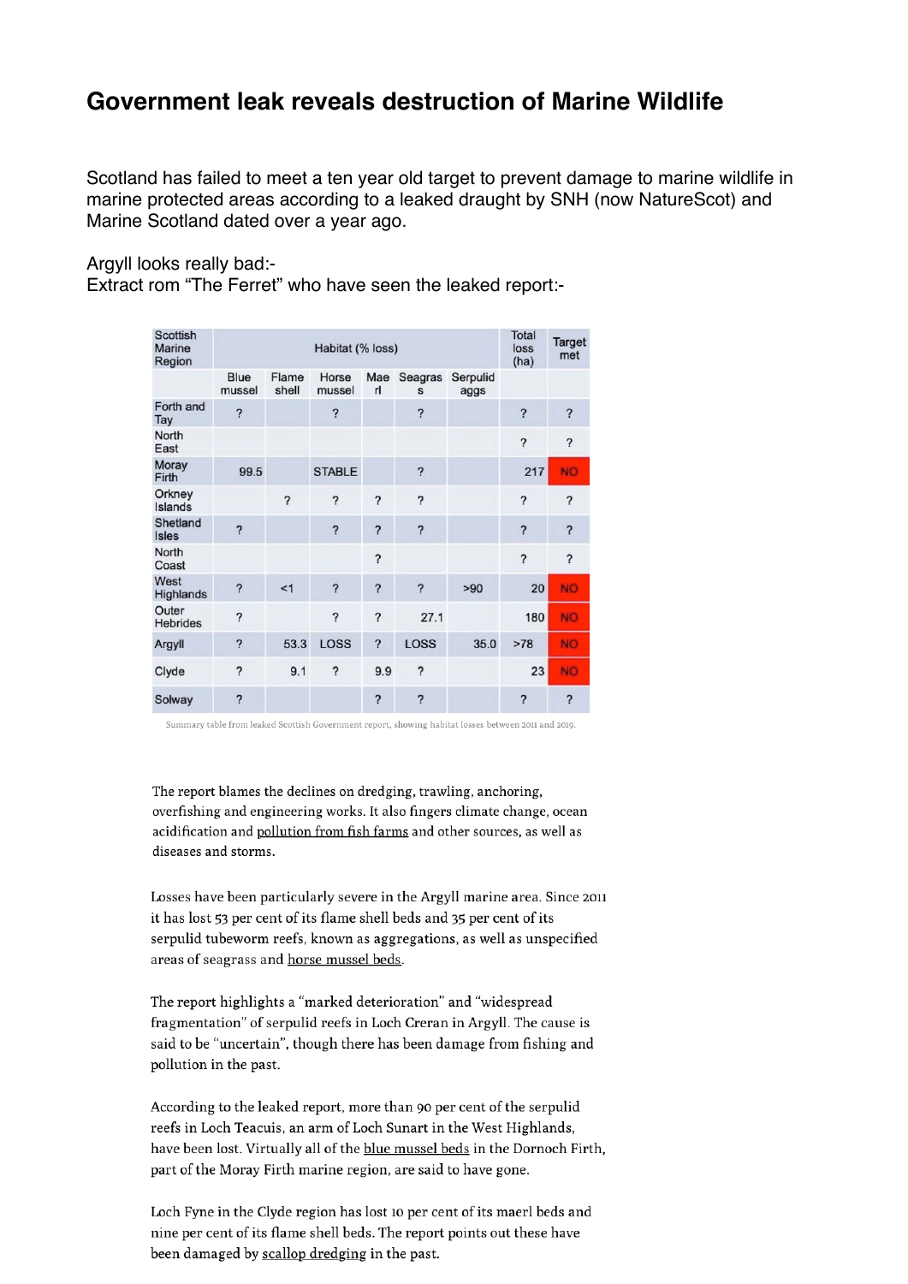## **Government leak reveals destruction of Marine Wildlife**

Scotland has failed to meet a ten year old target to prevent damage to marine wildlife in marine protected areas according to a leaked draught by SNH (now NatureScot) and Marine Scotland dated over a year ago.

Argyll looks really bad:-

Extract rom "The Ferret" who have seen the leaked report:-

| <b>Scottish</b><br><b>Marine</b><br>Region | Habitat (% loss)         |                          |                          |                          |                          |                  | <b>Total</b><br>loss<br>(ha) | Target<br>met            |
|--------------------------------------------|--------------------------|--------------------------|--------------------------|--------------------------|--------------------------|------------------|------------------------------|--------------------------|
|                                            | Blue<br>mussel           | Flame<br>shell           | Horse<br>mussel          | rl                       | Mae Seagras<br>S         | Serpulid<br>aggs |                              |                          |
| Forth and<br>Tay                           | $\overline{\phantom{0}}$ |                          | $\overline{\mathbf{?}}$  |                          | ?                        |                  | ?                            | $\overline{\phantom{0}}$ |
| North<br>East                              |                          |                          |                          |                          |                          |                  | 2                            | ?                        |
| Moray<br>Firth                             | 99.5                     |                          | <b>STABLE</b>            |                          | ?                        |                  | 217                          | <b>NO</b>                |
| Orkney<br>Islands                          |                          | $\overline{\phantom{0}}$ | ?                        | $\overline{\phantom{0}}$ | ?                        |                  | ?                            | ?                        |
| Shetland<br><b>Isles</b>                   | $\overline{\phantom{0}}$ |                          | ?                        | $\overline{\phantom{0}}$ | ?                        |                  | $\overline{\phantom{0}}$     | $\overline{\phantom{0}}$ |
| North<br>Coast                             |                          |                          |                          | $\overline{\phantom{0}}$ |                          |                  | $\overline{\phantom{0}}$     | $\overline{\phantom{0}}$ |
| West<br><b>Highlands</b>                   | ?                        | <1                       | $\overline{\phantom{0}}$ | ?                        | $\overline{\phantom{0}}$ | >90              | 20                           | <b>NO</b>                |
| Outer<br><b>Hebrides</b>                   | $\overline{\phantom{0}}$ |                          | ?                        | $\overline{\phantom{0}}$ | 27.1                     |                  | 180                          | <b>NO</b>                |
| Argyll                                     | ?                        | 53.3                     | <b>LOSS</b>              | $\overline{\phantom{0}}$ | <b>LOSS</b>              | 35.0             | >78                          | <b>NO</b>                |
| Clyde                                      | $\overline{\phantom{0}}$ | 9.1                      | ?                        | 9.9                      | ?                        |                  | 23                           | <b>NO</b>                |
| Solway                                     | ?                        |                          |                          | ?                        | ?                        |                  | ?                            | $\overline{\mathbf{c}}$  |

Summary table from leaked Scottish Government report, showing habitat losses between 2011 and 2019.

The report blames the declines on dredging, trawling, anchoring, overfishing and engineering works. It also fingers climate change, ocean acidification and pollution from fish farms and other sources, as well as diseases and storms.

Losses have been particularly severe in the Argyll marine area. Since 2011 it has lost 53 per cent of its flame shell beds and 35 per cent of its serpulid tubeworm reefs, known as aggregations, as well as unspecified areas of seagrass and horse mussel beds.

The report highlights a "marked deterioration" and "widespread fragmentation" of serpulid reefs in Loch Creran in Argyll. The cause is said to be "uncertain", though there has been damage from fishing and pollution in the past.

According to the leaked report, more than 90 per cent of the serpulid reefs in Loch Teacuis, an arm of Loch Sunart in the West Highlands, have been lost. Virtually all of the blue mussel beds in the Dornoch Firth, part of the Moray Firth marine region, are said to have gone.

Loch Fyne in the Clyde region has lost 10 per cent of its maerl beds and nine per cent of its flame shell beds. The report points out these have been damaged by scallop dredging in the past.